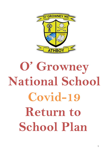

# **O' Growney National School Covid-19 Return to School Plan**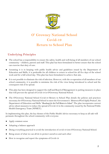

# **O' Growney National School Covid-19 Return to School Plan**

# **Underlying Principles**

- The school has a responsibility to ensure the safety, health and well-being of all members of our school community – children, parents and staff. This plan has been formulated to better ensure that the school can exercise that duty of care.
- Assuming it is in keeping with public health advice and guidelines issued by the Department of Education and Skills, it is preferable for all children to return to school for all five days of the school week and for a full school day. This plan has been formulated to achieve that aim.
- It is not possible to eliminate the risk of infection. However, with the co-operation of all members of our school community, it is possible to minimise the risk of the virus being introduced to school and the consequent risk of its spread.
- This plan has been designed to support the staff and Board of Management in putting measures in place that will prevent the spread of Covid-19 in O'Growney National School.
- The O'Growney National School Covid-19 Return to School Plan details the policies and practices necessary for O'Growney National School to meet the Government's '*Return to Work Safely Protocol'*, the Department of Education and Skills "*Roadmap for the Full Return to School*". The plan incorporates current advice about measures to reduce the spread of Covid-19 in the community issued by the National Public Health Emergency Team (NPHET).

In implementing this plan, the key themes of the Public Health Advice necessary to keep us all safe will permeate throughout the school community with everyone:

- Apply common sense
- Adopting a balance approach
- Doing everything practical to avoid the introduction of covid-19 into O'Growney National School.
- Being aware of what we can all do to protect ourselves and each other
- How to recognise and report the symptoms of Covid-19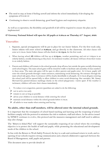- The need to stay at home if feeling unwell and inform the school immediately if developing the symptoms of Covid-19
- Continuing to observe social distancing, good hand hygiene and respiratory etiquette.

As well as co-operation, the flexibility and goodwill of all will be required to ensure the plan can be implemented.

#### **O' Growney National School will open for All pupils at 9.20a.m on Thursday 27th August, 2020.**

## **Timetables**

- 1. Separate, special arrangements will be put in place for our Junior Infants. For the first week only, Junior infants will enter school at **9.20a.m.** and go directly to the classroom. All other classes will enter at 9.10a.m. Junior Infant classes will also finish at **12.15p.m.** for the first week.
- 2. When leaving school **All** children will line up at **2.55p.m.,** weather permitting, and exit at 3.00p.m in an orderly fashion, socially distancing as they leave. In inclement weather, all classes will leave from their rooms in an orderly fashion.
- 3. Parents and children will remain in the school grounds, drop off area, but outside the gates socially distancing until school begins. The main school gates will be closed for traffic to facilitate safe assembly of class numbers in these areas. The main side gates will be open to allow parents and pupils enter. At 9.10a.m. pupils will enter the school grounds through 3 main entrances, maintaining social distancing. On entrance through the main school side gates, these 3 entrances will be clearly identifiable to all pupils. At 9.10a.m all gates entering the school yard will be opened fully to allow children to enter social distancing. Our caretaker, Mr. Jimmy Herward has painted distance markings clearly on the school playground, 1 metre apart. If the weather is inclement, children will enter their classes immediately.
- 4. To reduce over-congestion, parents/guardians are asked to do the following:
- $\triangleright$  not to arrive too early
- $\triangleright$  remain in cars as long as possible
- $\triangleright$  advise your children to social distance while entering the school
- $\triangleright$  maintain social distance within the school grounds before 9.10a.m.
- $\triangleright$  all adults to wear masks when entering and leaving

#### **No adults, other than staff members, will be allowed enter the internal school grounds.**

It is important that the resumption of school based teaching and learning and the reopening of school facilities comply with the protocol to minimise the risk to students, staff and others. As the advice issued by NPHET continues to evolve, this protocol and the measures management and staff need to address may also change.

The "*Return to School Plan*" will support the sustainable reopening of our school where the overriding objective is to protect the health of staff and pupils, while promoting the educational and development needs of the children in the school.

In line with the Return to Work Safely Protocol, the key to a safe and continued return to work, and reopening of our schools requires strong communication and a shared collaborative approach between the Board of Management, staff, pupils and parents.

This document aims to provide details of: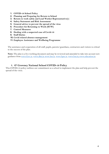- **1. COVID-19 School Policy**
- **2. Planning and Preparing for Return to School**
- **3. Return to work safely and Lead Worker Representative(s**)
- **4. Safety Statement and Risk Assessment**
- **5. General advice to prevent the spread of the virus**
- **6. Procedure for Returning to Work (RTW)**
- **7. Control Measures**
- **8. Dealing with a suspected case of Covid-19**
- **9. Staff Duties**
- **10. Covid related absence management**
- **11. Employee Assistance and Wellbeing Programme**

The assistance and cooperation of all staff, pupils, parents/guardians, contractors and visitors is critical to the success of the plan.

**Note:** The plan is a live working document and may be reviewed and amended to take into account new guidance from [www.Gov.ie, www.dbei.ie](http://www.gov.ie/) [www.hse.ie,](http://www.hse.ie/) [www.hpsc.ie,](http://www.hpsc.ie/) [www.hsa.ie;](http://www.hsa.ie/) [www.education.ie;](http://www.education.ie/)

## **1. O' Growney National School COVID-19 Policy**

This COVID-19 policy outlines our commitment as a school to implement the plan and help prevent the spread of the virus.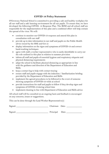#### **COVID 19 Policy Statement**

O'Growney National School is committed to providing a safe and healthy workplace for all our staff and a safe learning environment for all our pupils. To ensure that, we have developed the following COVID- 19 Response Plan. The BOM and all school staff are responsible for the implementation of this plan and a combined effort will help contain the spread of the virus. We will:

- continue to monitor our COVID-19 response and amend this plan in consultation with our staff
- provide up to date information to our staff and pupils on the Public Health advice issued by the HSE and Gov.ie
- display information on the signs and symptoms of COVID-19 and correct hand-washing techniques
- agree with staff, a worker representative who is easily identifiable to carry out the role outlined in this plan in relation to summer provision
- inform all staff and pupils of essential hygiene and respiratory etiquette and physical distancing requirements
- adapt the school to facilitate physical distancing as appropriate in line with the guidance and direction of the Department of Education and Skills
- keep a contact log to help with contact tracing
- ensure staff and pupils engage with the induction  $/$  familiarization briefing provided by the Department of Education and Skills
- implement the agreed procedures to be followed in the event of someone showing symptoms of COVID-19 while at school
- provide instructions for staff and pupils to follow if they develop signs and symptoms of COVID-19 during school time
- implement cleaning in line with Department of Education and Skills advice

All school staff will be consulted on an ongoing basis and feedback is encouraged on any concerns, issues or suggestions.

This can be done through the Lead Worker Representative(s)

| Signed<br>$\cdots$ | aairmar | Jate: |  |
|--------------------|---------|-------|--|
|--------------------|---------|-------|--|

Signed: \_\_\_\_\_\_\_\_\_\_\_\_\_\_\_\_\_\_\_\_\_\_\_\_\_\_\_\_\_ Principal Date: \_\_\_\_\_\_\_\_\_\_\_\_\_\_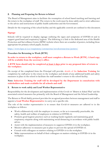#### **2. Planning and Preparing for Return to School**

The Board of Management aims to facilitate the resumption of school based teaching and learning and the return to the workplace of staff. The return to the work must be done safely and in strict adherence to the advice and instructions of public health authorities and the Government.

Details for the reopening of the school facility and the applicable controls are outlined in this document.

#### **Signage**

Schools will be required to display signage outlining the signs and symptoms of COVID-19 and to support good hand and respiratory hygiene. The following is a link to the dedicated area of the Health Protection and Surveillance Centre (HPSC) website where there are a number of posters, including those appropriate for primary school pupils, located.

<https://www.hpsc.ie/a-z/respiratory/coronavirus/novelcoronavirus/posters/>

#### **Procedure for Returning to Work (RTW)**

**In order to return to the workplace, staff must complete a Return to Work (RTW). A hard copy will be available from the secretary's office.**

**A RTW form should only be completed at least 3 days prior to any proposed date of return to the workplace.**

On receipt of the completed form the Principal will provide: details of the **Induction Training** for completion by staff prior to the return to the workplace and details of any additional health and safety measures in place in the school to facilitate the staff member's return to the school facility.

#### **Note: Induction Training for staff will be developed by the Department in consultation with stakeholders and made available for all schools and staff.**

#### **3. Return to work safely and Lead Worker Representative**

Responsibility for the development and implementation of the Covid-19 "*Return to School Plan*" and the associated control measures lies primarily with the Board of Management and the School Leadership.

The Return to Work Safely protocol provides for an agreed procedure between management and staff to appoint a **Lead Worker Representative** to carry out a specific role.

The role of the worker representative is to ensure that Covid-19 measures are adhered to in the workplace as follows:

- Work collaboratively with the employer to ensure, so far as is reasonably practicable, the safety, health and welfare of employees in relation to COVID-19.
- Promote good hygiene practices such as washing hands regularly and maintaining good respiratory etiquette along with maintaining social distancing in accordance with public health advice.
- Assist with the implementation of measures to suppress COVID-19 in the workplace.
- Monitor adherence to measures put in place to prevent the spread of COVID-19.
- Consult with colleagues on matters relating to COVID-19 in the workplace.
- Make representations on behalf of their colleagues on matters relating to COVID-19 in the workplace.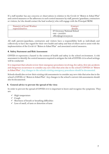If a staff member has any concerns or observations in relation to the Covid-19 "*Return to School Plan*" and control measures or the adherence to such control measures by staff, parents/guardians, contractors or visitors, he/she should contact the lead worker(s) who will engage with the Principal/BOM.

| Name(s) of Lead Worker<br>representative: | <b>Contact</b><br>details                     |
|-------------------------------------------|-----------------------------------------------|
|                                           | O' Growney National School<br>$046 - 9432291$ |
|                                           | office@ogrowneyns.ie                          |

All staff, parents/guardians, contractors and visitors have a responsibility both as individuals and collectively to have due regard for their own health and safety and that of others and to assist with the implementation of the Covid-19 "*Return to School Plan*" and associated control measures.

#### **4. Safety Statement and Risk Assessment**

COVID-19 represents a hazard in the context of health and safety in the school environment. A risk assessment to identify the control measures required to mitigate the risk of COVID-19 in school settings will be conducted.

It is important that schools review their emergency procedures involving, fire safety, first aid, accidents and dangerous occurrences to consider any new risks that arise due to the school's COVID-19 "*Return to School Plan*". Any changes to the schools existing emergency procedures should be documented.

Schools should also review their existing risk assessments to consider any new risks that arise due to the school's COVID-19 "*Return to School Plan*". Any changes to the school's current risk assessments should also be documented.

#### **5. General advice to prevent the spread of the virus**

In order to prevent the spread of COVID-19 it is important to know and recognise the symptoms. They are:

- $\checkmark$  High temperature
- $\checkmark$  Cough
- $\checkmark$  Shortness of breath or breathing difficulties
- $\checkmark$  Loss of smell, of taste or distortion of taste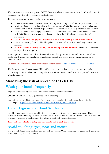The best way to prevent the spread of COVID-19 in a school is to minimise the risk of introduction of the disease into the school setting in the first place.

This can be achieved through the following measures:

- Promote awareness of COVID-19 and its symptoms amongst staff, pupils, parents and visitors.
- Advise staff and parents of pupils who have symptoms of COVID-19 or other acute infectious diseases not to attend school, to phone their GP and follow the HSE guidance on self-isolation.
- Advise staff and parents of pupils who have been identified by the HSE as contact of a person with COVID- 19 not to attend schools and to follow the HSE advice on restriction of movement.
- x **Ensure that staff and pupils know what to do if they develop symptoms at school.**
- Everyone entering the school building should be required to perform hand hygiene with hand sanitiser.
- **Visitors to school during the day should be by prior arrangement** and should be received at a specific contact point.

Staff, pupils and visitors should at all times adhere to the up to date advice and instructions of the public health authorities in relation to protecting oneself and others against the risk posed by the Covid-19 virus.

Updated advice from the HSE is available on its website – <https://www2.hse.ie/coronavirus/>

The Department of Education and Skills will ensure all updated advice is circulated to schools. O'Growney National School will arrange for this advice to be circulated to staff, pupils and visitors in a timely manner.

# **Managing the risk of spread of COVID-19**

# **Wash your hands frequently**

Regular hand washing with soap and water is effective for the removal of

COVID-19. Follow the HSE guidelines on handwashing:

For advice from HSE on how to wash your hands the following link will be helpful:<https://www2.hse.ie/wellbeing/how-to-wash-your-hands.html>

# **Hand Hygiene and Hand Sanitisers**

Hand hygiene can also be achieved by the use of a hand sanitisers (when hands are clean). Hand sanitisers are more readily deployed in school settings to avoid disruption to teaching and learning and to avoid congestion of staff and pupils waiting to use hand washing facilities.

**They will be available at entry and exit points and in each classroom.**

# **Avoid touching eyes, nose and mouth**

Why? Hands touch many surfaces and can pick up viruses. Once contaminated, hands can transfer the virus to your eyes, nose or mouth.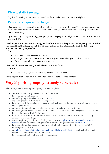# **Physical distancing**

Physical distancing is recommended to reduce the spread of infection in the workplace.

# **Practice respiratory hygiene**

Make sure you, and the people around you, follow good respiratory hygiene. This means covering your mouth and nose with a tissue or your bent elbow when you cough or sneeze. Then dispose of the used tissue immediately.

By following good respiratory hygiene, you protect the people around you from viruses such as cold, flu and Covid- 19.

#### **Good hygiene practices and washing your hands properly and regularly can help stop the spread of the virus. It is, therefore, crucial that all staff adhere to this advice and adopt the following practices as strictly as possible.**

**Do**

- Wash your hands properly and often
- Cover your mouth and nose with a tissue or your sleeve when you cough and sneeze
- Put used tissues into a bin and wash your hands

#### **Clean and disinfect frequently touched objects and surfaces.**

**Do Not**

Touch your eyes, nose or mouth if your hands are not clean

#### **Share objects that touch your mouth – for example, bottles, cups, cutlery.**

# **Very high risk groups (extremely vulnerable)**

The list of people in very high risk groups include people who:

- are over 70 years of age even if you're fit and well
- have had an organ transplant
- are undergoing active chemotherapy for [cancer](https://www2.hse.ie/conditions/coronavirus/cancer-patients.html)
- are having radical radiotherapy for lung cancer
- have cancers of the blood or bone marrow such as leukaemia, lymphoma or myeloma who are at any stage of treatment
- are having immunotherapy or other continuing antibody treatments for cancer
- are having other targeted cancer treatments which can affect the immune system, such as protein kinase inhibitors or PARP inhibitors
- $\bullet$  have had bone marrow or stem cell transplants in the last 6 months, or who are still taking immunosuppression drugs
- severe respiratory conditions including cystic fibrosis, [Alpha-1 antitrypsin deficiency,](https://www.alpha1.ie/news-events/latest-news/367-coronavirus-update) severe [asthma,](https://www2.hse.ie/conditions/coronavirus/asthma.html) pulmonary fibrosis, lung fibrosis, interstitial lung disease and [severe COPD](https://www2.hse.ie/conditions/coronavirus/copd.html)
- have a condition that means you have a very high risk of getting infections (such as SCID, homozygous sickle cell)
- are [taking medicine that makes you much more likely to get infections](https://www2.hse.ie/conditions/coronavirus/weak-immune-system.html) (such as high doses of steroids or immunosuppression therapies)
- have a serious heart condition and you're pregnant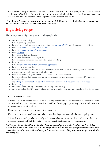The advice for this group is available from the HSE. Staff who are in this group should self-declare on the Return to Work form if they believe that they are at very high risk. Details of the leave arrangements that will apply will be updated by the Department of Education and Skills.

**If the Board/Principal is unsure whether or not staff fall into the very high-risk category, advice will be sought from the Occupational Health Service.**

# **High risk groups**

The list of people in high risk groups includes people who:

- are over 60 years of age
- $\bullet$  have a learning disability
- have a lung condition that's not severe (such as [asthma,](https://www2.hse.ie/conditions/coronavirus/asthma.html) [COPD,](https://www2.hse.ie/conditions/coronavirus/copd.html) emphysema or bronchitis)
- have [heart disease \(such as heart failure\)](https://www2.hse.ie/conditions/coronavirus/heart-conditions.html)
- have [high blood pressure \(hypertension\)](https://www2.hse.ie/conditions/coronavirus/high-blood-pressure.html)
- have [diabetes](https://www2.hse.ie/conditions/coronavirus/diabetes-and-coronavirus.html)
- have chronic kidney disease
- have liver disease (such as hepatitis)
- have a medical condition that can affect your breathing
- have cancer
- have a [weak immune system \(immunosuppressed\)](https://www2.hse.ie/conditions/coronavirus/weak-immune-system.html)
- have cerebrovascular disease
- have a condition affecting your brain or nerves (such as Parkinson's disease, motor neurone disease, multiple sclerosis, or cerebral palsy)
- have a problem with your spleen or have had your spleen removed
- have a condition that means you have a high risk of getting infections (such as HIV, lupus or scleroderma)
- are [taking medicine that can affect your immune system \(such as low doses of steroids\)](https://www2.hse.ie/conditions/coronavirus/weak-immune-system.html)
- $\bullet$  have [obesity](https://www2.hse.ie/conditions/coronavirus/obesity-and-coronavirus.html)
- are residents of nursing homes and other long-stay settings
- are in specialist disability care and are over 50 years of age or have an underlying health problem

#### **6. Control Measures**

A range of essential control measures have been implemented to reduce the risk of the spread of Covid-19 virus and to protect the safety, health and welfare of staff, pupils, parents/guardians and visitors as far as possible within the school .

These control measures are outlined in this document.

The control measures shall continue to be reviewed and updated as required on an ongoing basis.

It is critical that staff, pupils, parents/guardians and visitors are aware of, and adhere to, the control measures outlined and that they fully cooperate with all health and safety requirements.

**Staff, in particular, should note that they have <sup>a</sup> legal obligation under Section <sup>13</sup> of the Safety, Health and Welfare at Work Act 2005 to comply with health and safety requirements and to take reasonable care for the health and safety of themselves, their colleagues and other parties within the workplace.**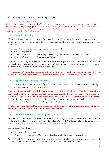The following control measures have been put in place:

#### **i. Return to Work Form**

Staff will be required to complete a RTW form at least 3 days prior to any return to the school facility (see section 2 above). The purpose of the RTW form is to get confirmation from staff that, to the best of his/her knowledge, he/she has no symptoms of Covid-19 and is not self-isolating or cocooning or awaiting the results of a Covid-19 test.

#### **ii. Induction Training**

All staff will undertake and complete Covid-19 Induction Training prior to returning to the school building. The aim of such training is to ensure that staff have full knowledge and understanding of the following:

- Latest up to-date advice and guidance on public health
- $\bullet$  Covid-19 symptoms
- What to do if a staff member or pupil develops symptoms of Covid-19 while at school
- x Outline of the Covid-19 "*Return to School Plan*"

Staff will be kept fully informed of the control measures in place in the school and their duties and responsibilities in preventing the spread of Covid-19 and with any changes to the control measures or guidance available from the public health authorities.

#### **Note: Induction Training for reopening schools in the new school year will be developed by the Department in consultation with stakeholders and made available for all schools and staff.**

#### **iii. Hygiene and Respiratory Etiquette**

It is crucial that all staff, pupils, parents/guardians, contractors and visitors are familiar with, and adopt, good hand and respiratory hygiene practices.

**Guidance documentation and Information posters will be available at various locations within the school facility. Information posters will be prominently displayed at appropriate locations within the school facility including offices, corridors, staffroom area, classrooms and toilet areas**. Such are intended to inform but also remind everyone about the importance of hygiene in preventing the spread of Covid-19 virus and protecting health and safety.

#### **Handwashing facilities and/or hand sanitisers will be available at multiple locations within the school facility and should be available in each classroom.**

#### **iv. Use of Personal Protective Equipment (PPE)**

PPE will not be required to be worn within the school facility according to current occupational and public health guidance. However, for a limited number of staff, PPE will need to be used occasionally or constantly due to the nature of certain work activities or work areas.

Such include roles where:

- Performing intimate care
- $\bullet$  Where a suspected case of Covid-19 is identified while the school is in operation

Appropriate PPE will be available for dealing with suspected COVID-19 cases, intimate care needs and for first aid. This will be updated as appropriate in line with advice from the HPSC.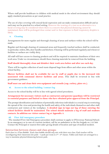Where staff provide healthcare to children with medical needs in the school environment they should apply standard precautions as per usual practice.

The use of a face covering will conceal facial expression and can make communication difficult and as such may not be practical in a school setting. However the wearing of a visor as an alternative to a facial covering may be considered where there is a concern that physical distancing cannot be maintained, there will be prolonged close contact and/or that exposure to fluid/respiratory droplets is likely.

#### **v. Cleaning**

Arrangements for more regular and thorough cleaning of areas and surfaces within the school will be made.

Regular and thorough cleaning of communal areas and frequently touched surfaces shall be conducted, in particular, toilets, lifts, door handles and kitchens. Cleaning will be performed regularly and whenever facilities or surfaces are visibly dirty.

All staff will have access to cleaning products and will be required to maintain cleanliness of their own work area. Under no circumstances should these cleaning materials be removed from the building.

#### **Staff should thoroughly clean and disinfect their work area before and after use each day.**

There will be regular collection of used waste disposal bags from offices and other areas within the school facility**.**

**Shower facilities shall not be available for use by staff or pupils due to the increased risk associated with communal shower facilities and areas.** This shall be reviewed in line with government guidance.

#### **Staff must use and clean their own equipment and utensils (cup, cutlery, plate etc.).**

#### **vi. Access to the school building /contact log**

Access to the school facility will be in line with agreed school procedures.

#### **Arrangement for necessary visitors such as contractors and parents/guardians will be restricted to essential purposes and limited to those who have obtained prior approval from the Principal.**

The prompt identification and isolation of potentially infectious individuals is a crucial step in restricting the spread of the virus and protecting the health and safety of the individuals themselves and other staff, contractors and visitors at the workplace. **A detailed sign in/sign out log of those entering the school facilities should be maintained. The school should maintain a log of staff and students contacts. In addition see visitor contact log at Appendix 3.**

#### **vii. First Aid/emergency procedure**

The standard First Aid/Emergency procedure shall continue to apply in O'Growney National School. In an emergency or in case of a serious incident, call for an ambulance or the fire brigade on 112/999 Contact the Principal or nearest first aider giving details of location and type of medical incident.

#### **Interaction between classes and class groups:**

Each class is a 'Class Bubble'. Each class bubble should only mix with their own class. Each teacher will be reconfiguring their classroom into pods – 3 pods per room in  $3<sup>rd</sup>$  - 6<sup>th</sup> classes. Tables and chairs are arranged in a way to maximise physical distancing between pods.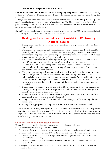#### **7. Dealing with a suspected case of Covid-19**

**Staff or pupils should not attend school if displaying any symptoms of Covid-19.** The following outlines how O'Growney National School will deal with a suspected case that may arise during the school day.

**A designated isolation area has been identified within the school building.**{Room 29}. The possibility of having more than one person displaying signs of Covid-19 is considered and a contingency plan for dealing with additional cases is in place. The designated isolation area is behind a closed door and away from other staff and pupils.

If a staff member/pupil displays symptoms of Covid-19 while at work in O'Growney National School the following are the procedures which will be implemented:

## **Dealing with a suspected case of Covid-19 in O' Growney National School**

- $\triangleright$  If the person with the suspected case is a pupil, the parents/guardians will be contacted immediately.
- $\triangleright$  The person will be isolated and a procedure is in place to accompany the individual to the designated isolation area via the isolation route, keeping at least 2 metres away from the symptomatic person and also making sure that others maintain a distance of at least 2 metres from the symptomatic person at all times.
- $\triangleright$  A mask will be provided for the person presenting with symptoms. He/she will wear the mask if in a common area with other people or while exiting the premises.
- $\triangleright$  The individual who is displaying symptoms will be assessed whether he/she can immediately be directed to go home/be brought home by parents and call their doctor and continue self-isolation at home.
- $\triangleright$  The person presenting with symptoms will be facilitated to remain in isolation if they cannot immediately go home and the school will facilitate them calling their doctor. The individual should avoid touching people, surfaces and objects. Advice will be given to the person presenting with symptoms to cover their mouth and nose with the disposable tissue provided when they cough or sneeze and the tissue will be put in the waste bag provided.
- $\triangleright$  If the person is well enough to go home, it will be arranged for them to be transported home by a family member, as soon as possible and advise them to inform their general practitioner by phone of their symptoms.
- $\triangleright$  If they are too unwell to go home or advice is required, contact 999 or 112 and inform them that the sick person is a Covid-19 suspect.
- $\triangleright$  Carry out an assessment of the incident which will form part of determining follow-up actions and recovery.
- $\triangleright$  Arrange for appropriate cleaning of the isolation area and work areas involved.

The HSE will inform any staff/parents who have come into close contact with a diagnosed case via the contact tracing process. The HSE will contact all relevant persons where a diagnosis of COVID-19 is made. The instructions of the HSE should be followed and staff confidentiality is essential at all times.

#### **Children who should not attend school**

If your child is in one of the following categories, they should not attend school –

- Children who have been diagnosed with Covid-19
- Children who have been in close contact with a person who has been diagnosed with Covid-19
- Children who have a suspected case of Covid-19 and the outcome of the test is pending
- Children who have been in contact with a person who has a suspected case of Covid-19 and the outcome of the test is pending
- Children with underlying health conditions, who have been directed by a medical professional not to attend school
- We request that children who return from holidays/travel abroad should not attend school within 14 days of their return.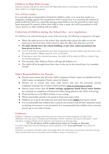## **Children in High Risk Groups:**

Parents should seek advice from their GP/Specialist about returning to school, if they think their child is in a high risk group.

## **Use of Face masks:**

It is currently not recommended in Ireland for children under 13 to wear face masks as a mitigation strategy against the transmission of the coronavirus. It is currently the opinion of public health that their use, especially among young children, has the potential to cause more harm than good. If a parent wishes their child to wear a mask, this will be permitted, as will visors. Scarves or other clothing will not suffice.

## **Collection of Children during the School Day – new regulations**

If a child has to be collected during the course of the school day, the following arrangements will apply:

- x When the adult arrives at the school, they should either phone the office or use the intercom at the front door of the school to alert the office that they have arrived.
- x **No adult should enter the school building, at any time, unless permission has been given to do so.**
- Access will only be permitted once their temperature has been taken and they have used the hand sanitiser. Masks must be worn at all times.
- $\bullet$  If having to enter the internal premises, the adult will be asked to fill in a visitor's log for tracing purposes.
- The secretary, Mrs. Rebecca Flynn, will sign all children out.
- The child will be brought from their class to the exit in the school foyer, by a member of staff.

## **Other Responsibilities for Parents**

- Parents must ensure that all of the child's equipment/books/copies are labelled with the child's name, as equipment/books cannot be shared.
- Parents are to ensure that their child knows and uses the protocols around coughing/sneezing/use of tissues/hand sanitisers prior to returning to school.
- Parents must ensure that all **books/writing equipment/lunch boxes/water bottles** are sanitised on completion of homework before being placed in the child's school bag.
- Water bottles are to be filled at home every evening.
- Where practicable, pencils to be pared at home and copies ruled.
- Children are to go to the bathroom and wash their hands **before** leaving for school.
- It is recommended that children have a pencil case stocked with all their stationary needs as sharing of resources is not permitted. It is recommended that children have a second pencil case to use while at home.

## **Uniforms:**

Children's uniforms (including tracksuits) must be clean and washed regularly. In light of the difficulties this may cause, Tuesdays and Thursdays will be "tracksuit only day for all pupils", which will allow washing of both school uniforms and tracksuits on alternate days.

#### **P.E. for all classes will be conducted on either on Tuesday or Thursday.** It is more important that all clothing be clearly labelled, as the **"Lost and Found"** area cannot be facilitated.

Uniforms or tracksuits should be taken off straight after the child arrives home from school for the day. They should *not* be worn in any after-school facilities, shops or activities etc.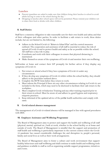#### **Lunches**

- Parents/guardians are asked to make sure that children bring their lunches to school to avoid adults having to come to the school during the day. "
- Dropping in lunches after school opens will not be permitted. Please remind your children not to share their food or drinks with other children.

#### **8. Staff Duties**

Staff have a statutory obligation to take reasonable care for their own health and safety and that of their colleagues and other parties. In order to facilitate a safe return to work, these duties include, but are not limited to, the following:

- ¾ Adhere to the School Covid-19 "*Return to School Plan*" and the control measures outlined. The cooperation and assistance of all staff is essential to reduce the risk of spread of Covid-19 and to protect health and safety as far as possible within the school. All staff have a key role to play.
- $\triangleright$  Coordinate and work with their colleagues to ensure that physical distancing is maintained.
- $\triangleright$  Make themselves aware of the symptoms of Covid-19 and monitor their own wellbeing.

Self-isolate at home and contact their GP promptly for further advice if they display any symptoms of Covid-19.

- 1. Not return or attend school if they have symptoms of Covid-19 under any circumstances.
- 2. If they develop any symptoms of Covid-19 whilst within the school facility, they should adhere to the procedure outlined above.
- 3. Complete the RTW form before they return to work.
- 4. Must inform the Principal if there are any other circumstances relating to Covid-19, not included in the form, which may need to be disclosed to facilitate their safe return to the workplace.
- 5. Must complete Covid-19 Induction Training and any other training required prior to their return to school. Must be aware of, and adhere to, good hygiene and respiratory etiquette practices.
- 6. Keep informed of the updated advice of the publ**ic** health authorities and comply with same.

#### **9. Covid related absence management**

The management of a Covid-19 related absence will be managed in line with agreed procedures with DES.

#### **10. Employee Assistance and Wellbeing Programme**

The Board of Management aims to protect and support the health and wellbeing of all staff (physical, mental, spiritual etc.) both at work, whether in the school facility or at home and outside of work. The Board of Management is mindful that the support and promotion of staff health and wellbeing is particularly important in the current context where the Covid-19 pandemic has caused considerable challenges for, and disruption to, people's personal, family and social lives as well as their work arrangements.

The Board of Management aims to foster a culture and work environment that support healthy behaviours and staff wellbeing and shall continue to make health and wellbeing tools and guidance available to staff as well as organising suitable support programmes, initiatives and events.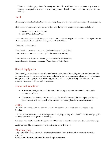These are challenging times for everyone. Should a staff member experience any stress or anxiety in respect of work or work arrangements, he/she should feel free to speak to the Principal.

#### **Yard**

Returning to school in September 2020 will bring changes to the yard and break times will be staggered.

Each bubble of classes will have access to the yards during their allotted break times as follows:

- 1. Junior Infants to Second Class
- 2. Third Class to Sixth Class

Each class bubble will have a designated area within the school playground. Yards will be supervised by class teachers, SETs and SNAs working within these bubbles.

There will be two breaks.

First Break 1: 10.45a.m. - 10.55a.m. {Junior Infants to Second Class} First Break 2: 11.00a.m. - 11.10a.m. {Third Class to Sixth Class}

Lunch Break 1: 12.30p.m. – 1.00p.m. {Junior Infants to Second Class} Lunch Break 2: 1.00p.m. – 1.30p.m. {Third Class to Sixth Class}

## **Shared Equipment**

By necessity, some classroom equipment needs to be shared including tablets, laptops and the equipment used for structured activities and play in Infant classrooms. Cleaning of such shared equipment with wipes or other cleaning products will take place at regular intervals to minimise the risk of the spread of infection.

#### **Doors and Windows**

- Where practical, all internal doors will be left open to minimise hand contact with common surfaces.
- To ensure that classrooms are well ventilated, windows will be kept open as often as possible, and will be opened while children are taking breaks in the playground.

#### **Office**

We have an online payment system that minimises the amount of cash that needs to be handled.

Parents/Guardians are asked to co-operate in helping to keep school staff safe by arranging for online payments through the Aladdin app.

Children will not be sent to the Secretary's Office or to the Reception area to deliver messages.

As far as possible, staff members will not enter the Office area.

#### **Photocopying**.

Any staff member who uses the photocopier should clean it down after use with the wipes provided.

**Children will not be allowed to use the photocopier**.